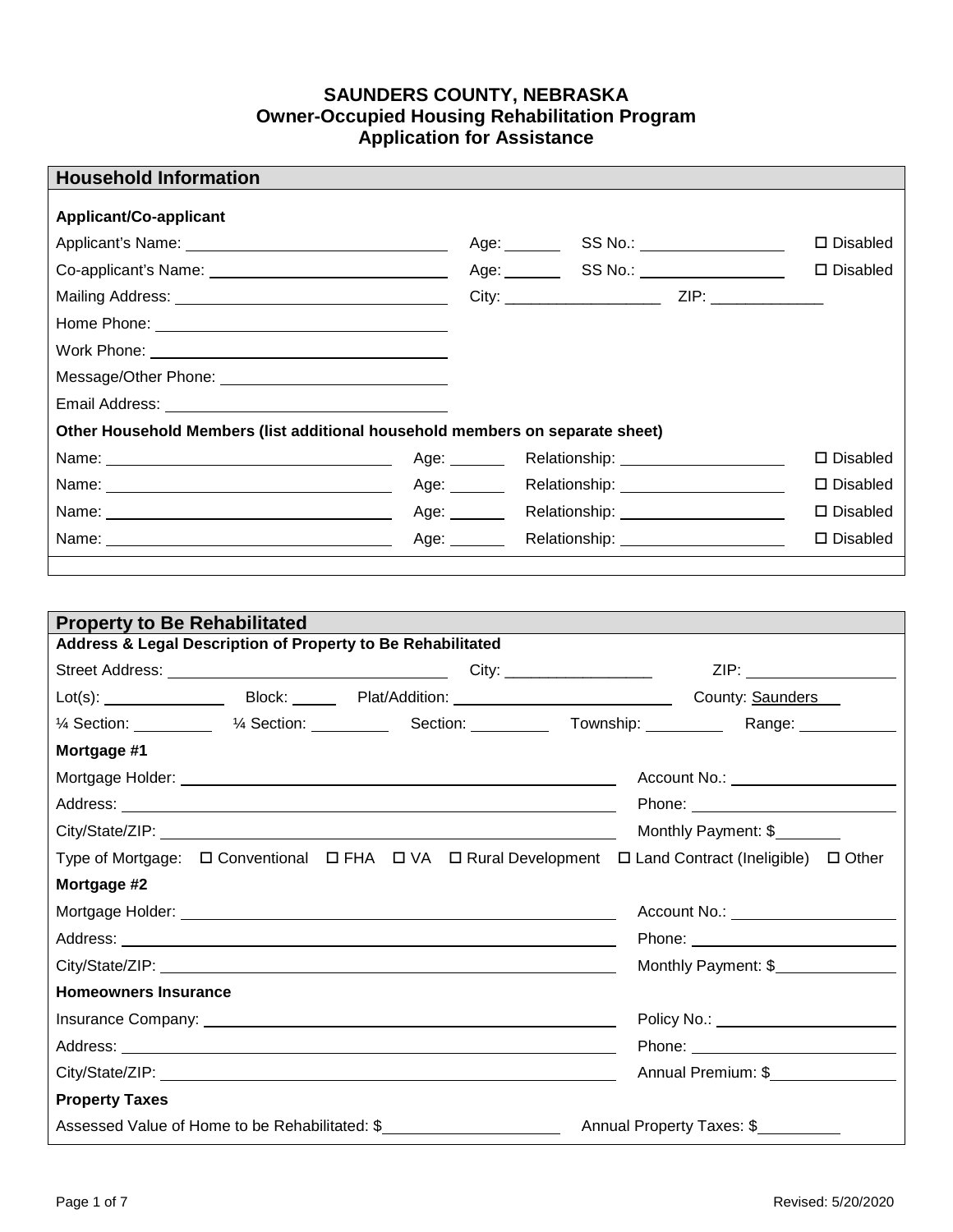## **SAUNDERS COUNTY, NEBRASKA Owner-Occupied Housing Rehabilitation Program Application for Assistance**

|              |                                                                               | $\square$ Disabled                                                                                                                                                                       |
|--------------|-------------------------------------------------------------------------------|------------------------------------------------------------------------------------------------------------------------------------------------------------------------------------------|
|              |                                                                               | $\square$ Disabled                                                                                                                                                                       |
|              |                                                                               |                                                                                                                                                                                          |
|              |                                                                               |                                                                                                                                                                                          |
|              |                                                                               |                                                                                                                                                                                          |
|              |                                                                               |                                                                                                                                                                                          |
|              |                                                                               |                                                                                                                                                                                          |
|              |                                                                               |                                                                                                                                                                                          |
|              |                                                                               | $\square$ Disabled                                                                                                                                                                       |
|              |                                                                               | $\square$ Disabled                                                                                                                                                                       |
|              |                                                                               | $\square$ Disabled                                                                                                                                                                       |
| Age: _______ |                                                                               | $\square$ Disabled                                                                                                                                                                       |
|              | Other Household Members (list additional household members on separate sheet) | Age: ___________SS No.: _____________________<br>Age: Relationship: 1997<br>Age: Relationship: Nelationship:<br>Age: Relationship: Nelationship:<br>Relationship: ______________________ |

| <b>Property to Be Rehabilitated</b> |  |                                                             |                     |  |                                                                                                                                                                                                                               |
|-------------------------------------|--|-------------------------------------------------------------|---------------------|--|-------------------------------------------------------------------------------------------------------------------------------------------------------------------------------------------------------------------------------|
|                                     |  | Address & Legal Description of Property to Be Rehabilitated |                     |  |                                                                                                                                                                                                                               |
|                                     |  |                                                             |                     |  |                                                                                                                                                                                                                               |
|                                     |  |                                                             |                     |  |                                                                                                                                                                                                                               |
|                                     |  |                                                             |                     |  | Range: ___________                                                                                                                                                                                                            |
| Mortgage #1                         |  |                                                             |                     |  |                                                                                                                                                                                                                               |
|                                     |  |                                                             |                     |  | Account No.: <u>______________________</u>                                                                                                                                                                                    |
|                                     |  |                                                             |                     |  |                                                                                                                                                                                                                               |
|                                     |  | Monthly Payment: \$                                         |                     |  |                                                                                                                                                                                                                               |
|                                     |  |                                                             |                     |  | Type of Mortgage: $\Box$ Conventional $\Box$ FHA $\Box$ VA $\Box$ Rural Development $\Box$ Land Contract (Ineligible) $\Box$ Other                                                                                            |
| Mortgage #2                         |  |                                                             |                     |  |                                                                                                                                                                                                                               |
|                                     |  |                                                             |                     |  | Account No.: ______________________                                                                                                                                                                                           |
|                                     |  |                                                             |                     |  |                                                                                                                                                                                                                               |
|                                     |  |                                                             | Monthly Payment: \$ |  |                                                                                                                                                                                                                               |
| <b>Homeowners Insurance</b>         |  |                                                             |                     |  |                                                                                                                                                                                                                               |
|                                     |  |                                                             |                     |  | Policy No.: 2008 - 2012 - 2022 - 2022 - 2022 - 2022 - 2022 - 2022 - 2022 - 2022 - 2022 - 2022 - 2022 - 2022 - 2022 - 2022 - 2022 - 2022 - 2022 - 2022 - 2022 - 2022 - 2022 - 2022 - 2022 - 2022 - 2022 - 2022 - 2022 - 2022 - |
|                                     |  |                                                             |                     |  |                                                                                                                                                                                                                               |
|                                     |  |                                                             | Annual Premium: \$  |  |                                                                                                                                                                                                                               |
| <b>Property Taxes</b>               |  |                                                             |                     |  |                                                                                                                                                                                                                               |
|                                     |  | Assessed Value of Home to be Rehabilitated: \$              |                     |  | Annual Property Taxes: \$                                                                                                                                                                                                     |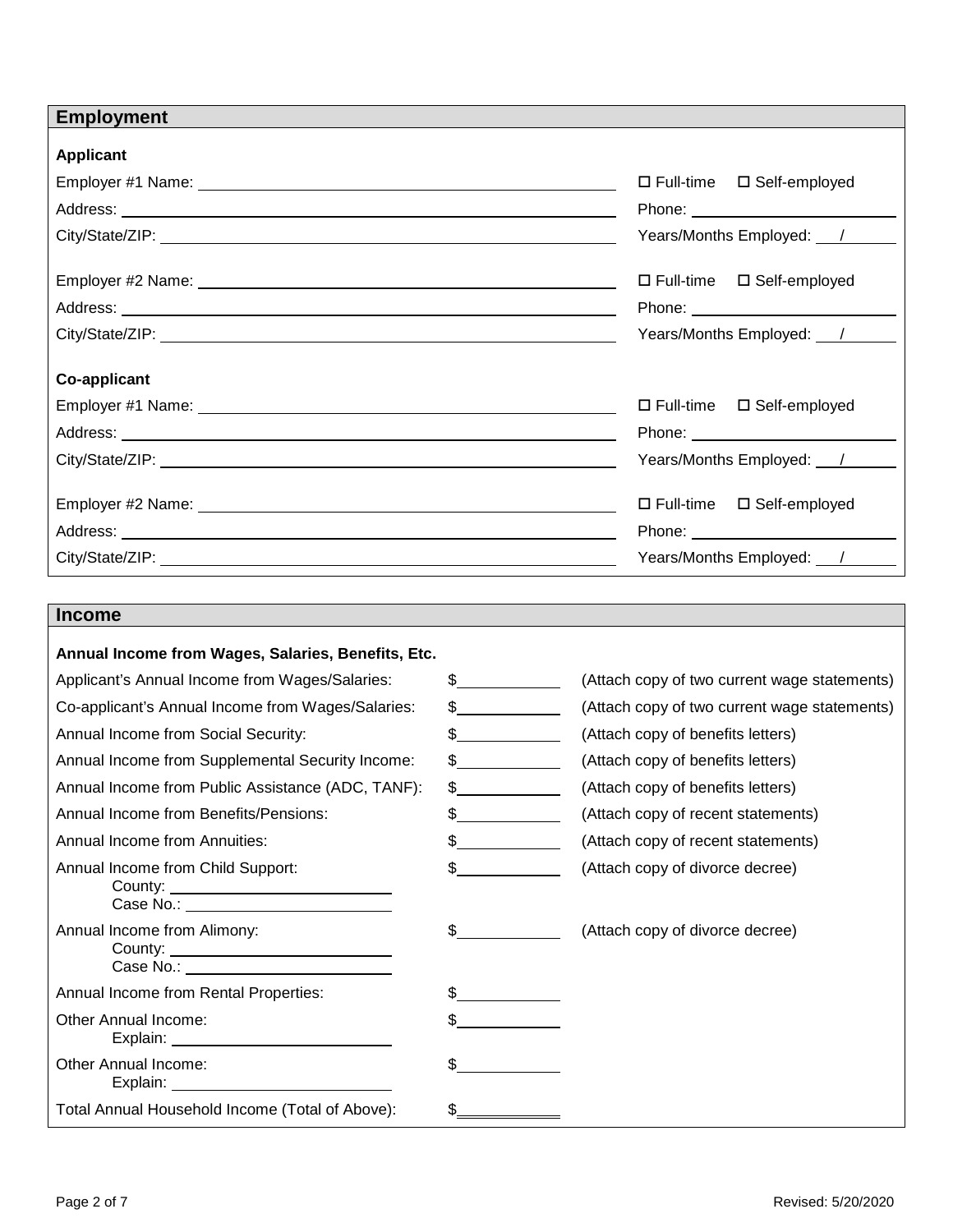| <b>Employment</b><br><b>Applicant</b><br>$\square$ Full-time<br>□ Self-employed<br>Years/Months Employed: /<br>$\square$ Full-time<br>□ Self-employed<br>Years/Months Employed: /<br><b>Co-applicant</b><br>$\Box$ Full-time $\Box$ Self-employed<br>Years/Months Employed: /<br>□ Self-employed<br>$\square$ Full-time |
|-------------------------------------------------------------------------------------------------------------------------------------------------------------------------------------------------------------------------------------------------------------------------------------------------------------------------|
|                                                                                                                                                                                                                                                                                                                         |
|                                                                                                                                                                                                                                                                                                                         |
|                                                                                                                                                                                                                                                                                                                         |
|                                                                                                                                                                                                                                                                                                                         |
|                                                                                                                                                                                                                                                                                                                         |
|                                                                                                                                                                                                                                                                                                                         |
|                                                                                                                                                                                                                                                                                                                         |
|                                                                                                                                                                                                                                                                                                                         |
|                                                                                                                                                                                                                                                                                                                         |
|                                                                                                                                                                                                                                                                                                                         |
|                                                                                                                                                                                                                                                                                                                         |
|                                                                                                                                                                                                                                                                                                                         |
|                                                                                                                                                                                                                                                                                                                         |
|                                                                                                                                                                                                                                                                                                                         |
|                                                                                                                                                                                                                                                                                                                         |
| Phone: <u>___________________________</u>                                                                                                                                                                                                                                                                               |
| Years/Months Employed: /                                                                                                                                                                                                                                                                                                |
|                                                                                                                                                                                                                                                                                                                         |
| <b>Income</b>                                                                                                                                                                                                                                                                                                           |
| Annual Income from Wages, Salaries, Benefits, Etc.                                                                                                                                                                                                                                                                      |
| Applicant's Annual Income from Wages/Salaries:<br>$\frac{1}{2}$<br>(Attach copy of two current wage statements)                                                                                                                                                                                                         |
| Co-applicant's Annual Income from Wages/Salaries:<br>$\frac{1}{2}$<br>(Attach copy of two current wage statements)                                                                                                                                                                                                      |
| Annual Income from Social Security:<br>(Attach copy of benefits letters)<br>$\frac{1}{2}$                                                                                                                                                                                                                               |
| Annual Income from Supplemental Security Income:<br>(Attach copy of benefits letters)                                                                                                                                                                                                                                   |
| Annual Income from Public Assistance (ADC, TANF):<br>$\frac{1}{2}$<br>(Attach copy of benefits letters)                                                                                                                                                                                                                 |
| Annual Income from Benefits/Pensions:<br>$\frac{1}{2}$<br>(Attach copy of recent statements)                                                                                                                                                                                                                            |
| Annual Income from Annuities:<br>(Attach copy of recent statements)<br>$\frac{1}{2}$                                                                                                                                                                                                                                    |
| (Attach copy of divorce decree)<br>Annual Income from Child Support:<br>$\frac{1}{2}$                                                                                                                                                                                                                                   |
|                                                                                                                                                                                                                                                                                                                         |
| Annual Income from Alimony:<br>(Attach copy of divorce decree)<br>$\frac{1}{2}$                                                                                                                                                                                                                                         |
|                                                                                                                                                                                                                                                                                                                         |
| Annual Income from Rental Properties:<br>\$                                                                                                                                                                                                                                                                             |

| Case No.: The contract of the contract of the contract of the contract of the contract of the contract of the contract of the contract of the contract of the contract of the contract of the contract of the contract of the |  |
|-------------------------------------------------------------------------------------------------------------------------------------------------------------------------------------------------------------------------------|--|
| Annual Income from Rental Properties:                                                                                                                                                                                         |  |
| Other Annual Income:                                                                                                                                                                                                          |  |
| Other Annual Income:<br>Explain:                                                                                                                                                                                              |  |
| Total Annual Household Income (Total of Above):                                                                                                                                                                               |  |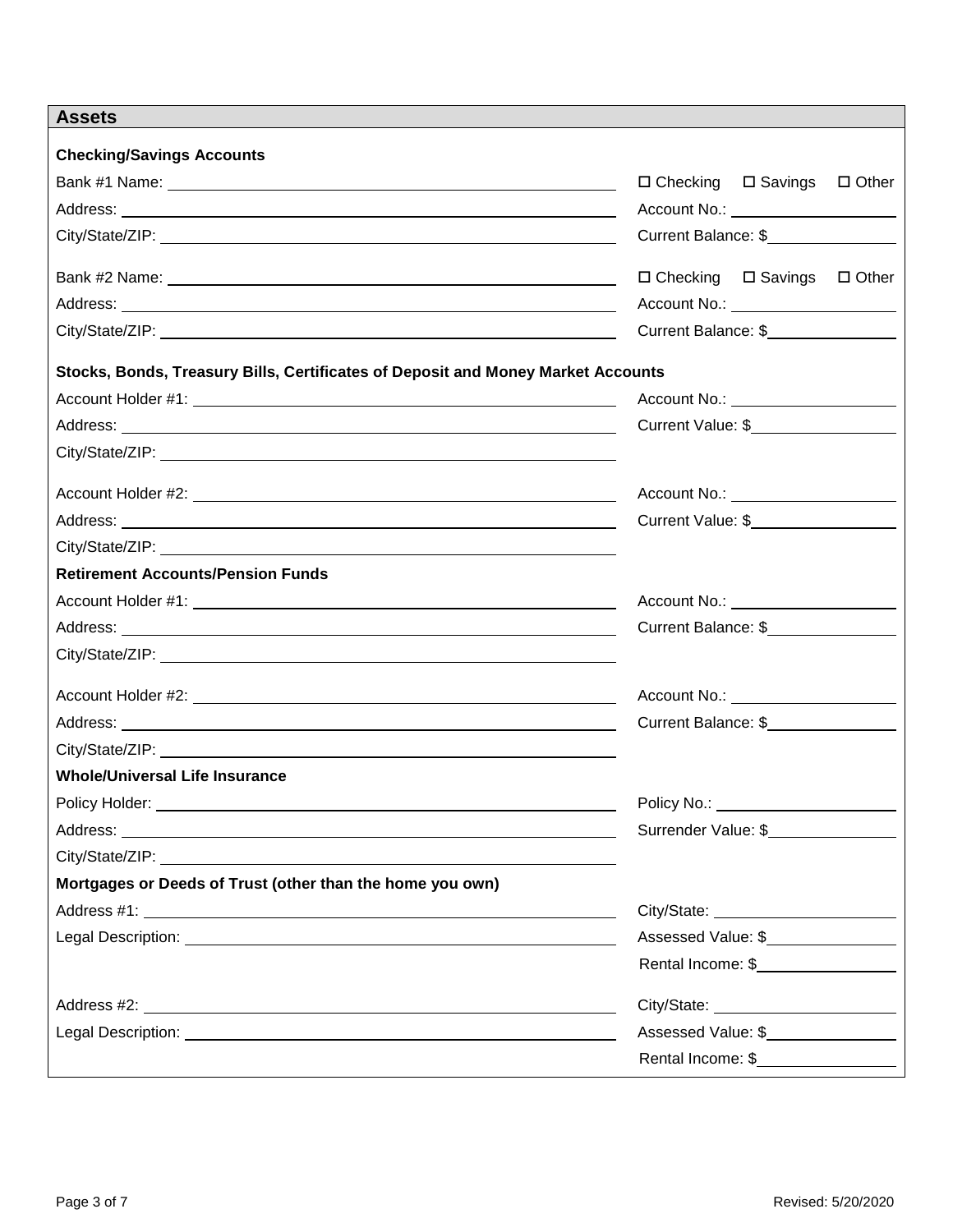| <b>Assets</b>                                                                                                                                      |                                                |
|----------------------------------------------------------------------------------------------------------------------------------------------------|------------------------------------------------|
| <b>Checking/Savings Accounts</b>                                                                                                                   |                                                |
|                                                                                                                                                    | $\Box$ Checking $\Box$ Savings<br>$\Box$ Other |
|                                                                                                                                                    | Account No.: _______________________           |
|                                                                                                                                                    | Current Balance: \$                            |
|                                                                                                                                                    |                                                |
|                                                                                                                                                    | $\Box$ Checking $\Box$ Savings $\Box$ Other    |
|                                                                                                                                                    | Account No.: <u>_____________________</u>      |
|                                                                                                                                                    | Current Balance: \$                            |
| Stocks, Bonds, Treasury Bills, Certificates of Deposit and Money Market Accounts                                                                   |                                                |
|                                                                                                                                                    | Account No.: <u>____________________</u>       |
|                                                                                                                                                    | Current Value: \$__________________            |
|                                                                                                                                                    |                                                |
|                                                                                                                                                    | Account No.: <u>____________________</u>       |
|                                                                                                                                                    | Current Value: \$                              |
|                                                                                                                                                    |                                                |
| <b>Retirement Accounts/Pension Funds</b>                                                                                                           |                                                |
|                                                                                                                                                    | Account No.: <u>____________________</u>       |
|                                                                                                                                                    | Current Balance: \$________________            |
|                                                                                                                                                    |                                                |
|                                                                                                                                                    |                                                |
|                                                                                                                                                    | Account No.: _____________________             |
|                                                                                                                                                    | Current Balance: \$                            |
|                                                                                                                                                    |                                                |
| <b>Whole/Universal Life Insurance</b>                                                                                                              |                                                |
| Policy Holder: ___________<br><u> 1980 - Jan Samuel Barbara, poeta establecidade a contra a contra de la contra de la contra de la contra de l</u> | Policy No.: ________________________           |
|                                                                                                                                                    | Surrender Value: \$                            |
|                                                                                                                                                    |                                                |
| Mortgages or Deeds of Trust (other than the home you own)                                                                                          |                                                |
|                                                                                                                                                    |                                                |
|                                                                                                                                                    | Assessed Value: \$                             |
|                                                                                                                                                    | Rental Income: \$__________________            |
|                                                                                                                                                    |                                                |
|                                                                                                                                                    | Assessed Value: \$                             |
|                                                                                                                                                    | Rental Income: \$__________________            |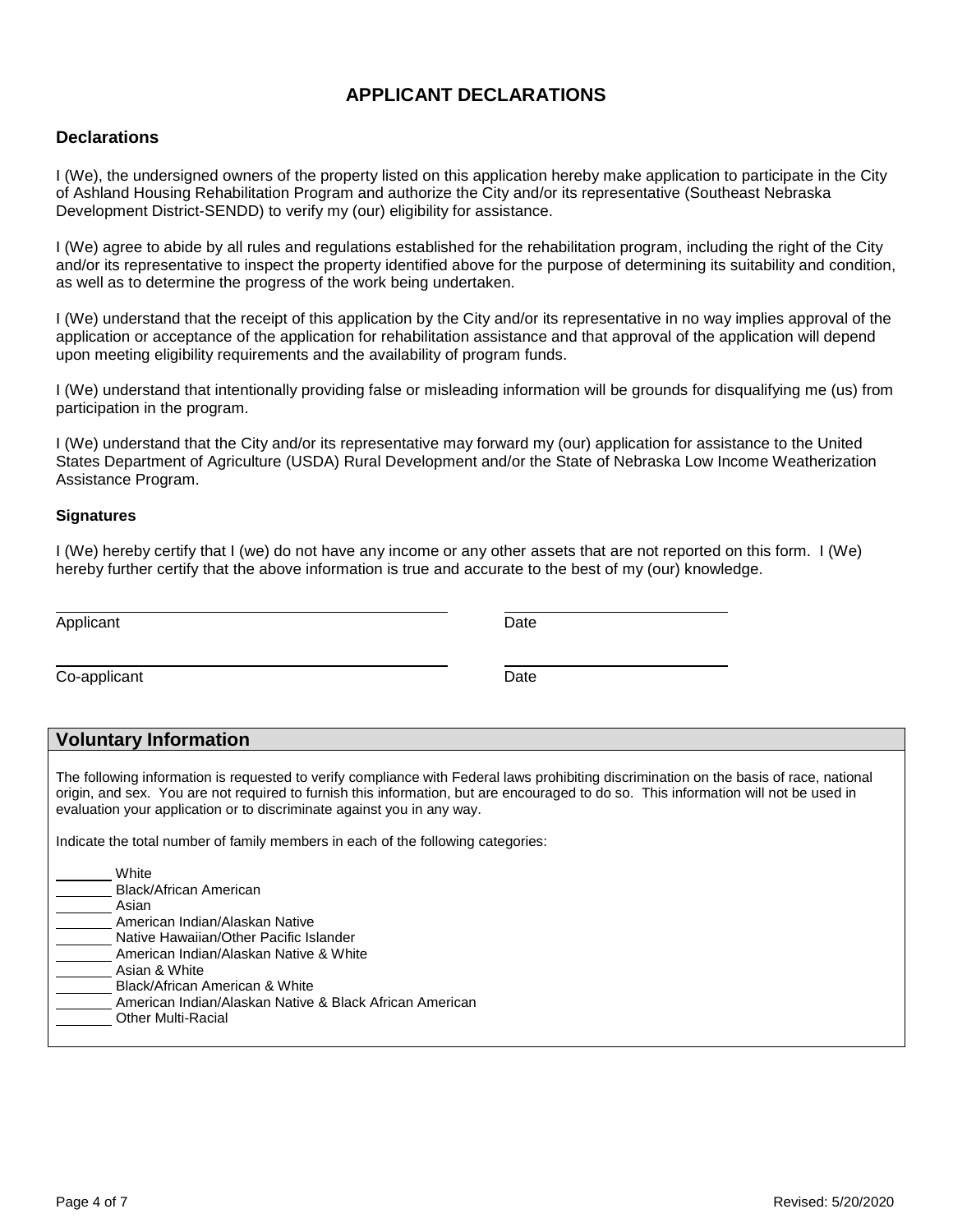# **APPLICANT DECLARATIONS**

### **Declarations**

I (We), the undersigned owners of the property listed on this application hereby make application to participate in the City of Ashland Housing Rehabilitation Program and authorize the City and/or its representative (Southeast Nebraska Development District-SENDD) to verify my (our) eligibility for assistance.

I (We) agree to abide by all rules and regulations established for the rehabilitation program, including the right of the City and/or its representative to inspect the property identified above for the purpose of determining its suitability and condition, as well as to determine the progress of the work being undertaken.

I (We) understand that the receipt of this application by the City and/or its representative in no way implies approval of the application or acceptance of the application for rehabilitation assistance and that approval of the application will depend upon meeting eligibility requirements and the availability of program funds.

I (We) understand that intentionally providing false or misleading information will be grounds for disqualifying me (us) from participation in the program.

I (We) understand that the City and/or its representative may forward my (our) application for assistance to the United States Department of Agriculture (USDA) Rural Development and/or the State of Nebraska Low Income Weatherization Assistance Program.

#### **Signatures**

I (We) hereby certify that I (we) do not have any income or any other assets that are not reported on this form. I (We) hereby further certify that the above information is true and accurate to the best of my (our) knowledge.

| Applicant    | Date |
|--------------|------|
| Co-applicant | Date |

### **Voluntary Information**

The following information is requested to verify compliance with Federal laws prohibiting discrimination on the basis of race, national origin, and sex. You are not required to furnish this information, but are encouraged to do so. This information will not be used in evaluation your application or to discriminate against you in any way.

Indicate the total number of family members in each of the following categories:

| White                     |                                                         |
|---------------------------|---------------------------------------------------------|
| Black/African American    |                                                         |
| Asian                     |                                                         |
|                           | American Indian/Alaskan Native                          |
|                           | Native Hawaiian/Other Pacific Islander                  |
|                           | American Indian/Alaskan Native & White                  |
| Asian & White             |                                                         |
|                           | Black/African American & White                          |
|                           | American Indian/Alaskan Native & Black African American |
| <b>Other Multi-Racial</b> |                                                         |
|                           |                                                         |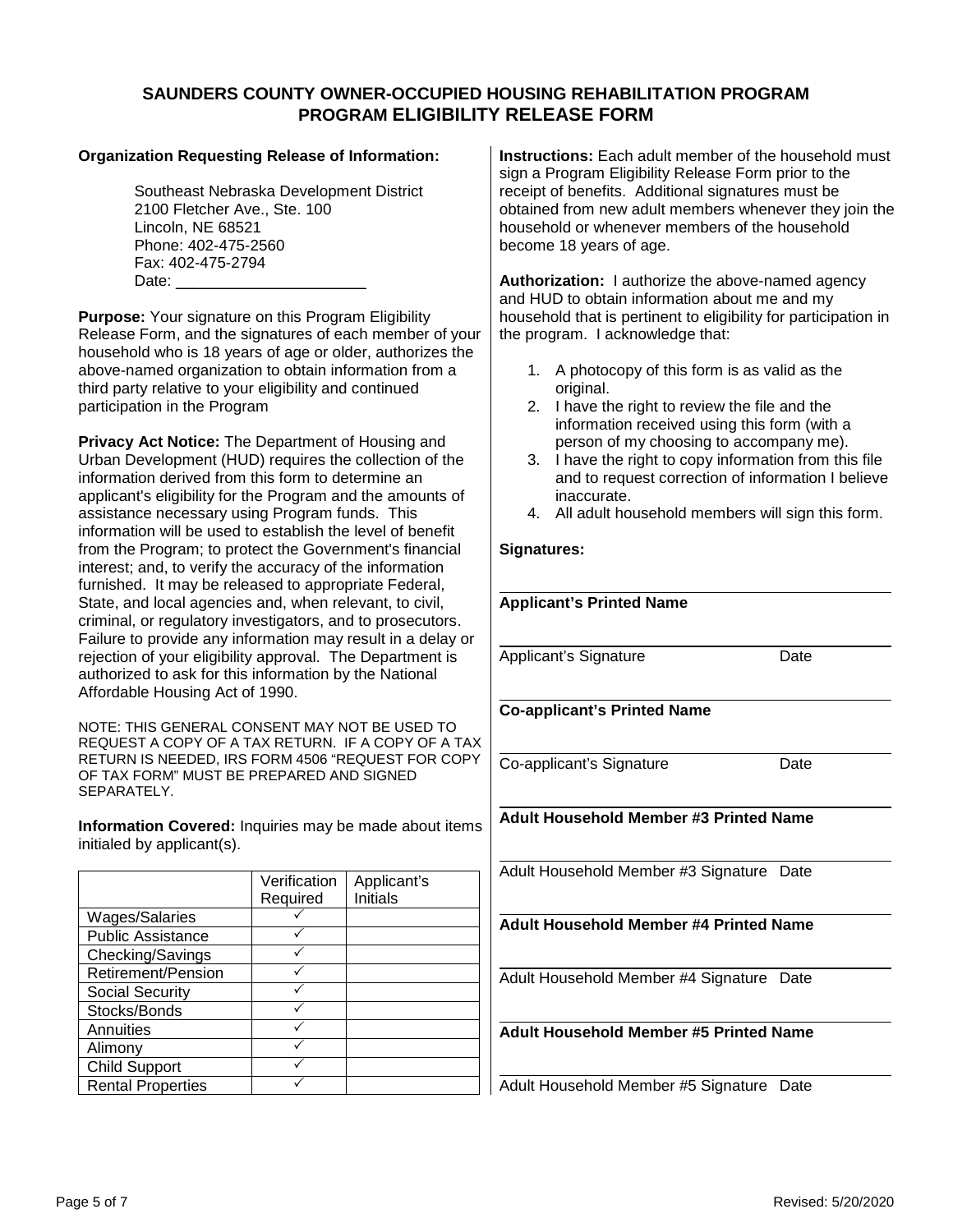### **SAUNDERS COUNTY OWNER-OCCUPIED HOUSING REHABILITATION PROGRAM PROGRAM ELIGIBILITY RELEASE FORM**

#### **Organization Requesting Release of Information:**

Southeast Nebraska Development District 2100 Fletcher Ave., Ste. 100 Lincoln, NE 68521 Phone: 402-475-2560 Fax: 402-475-2794 Date:  $\mathbf{C}$ 

**Purpose:** Your signature on this Program Eligibility Release Form, and the signatures of each member of your household who is 18 years of age or older, authorizes the above-named organization to obtain information from a third party relative to your eligibility and continued participation in the Program

**Privacy Act Notice:** The Department of Housing and Urban Development (HUD) requires the collection of the information derived from this form to determine an applicant's eligibility for the Program and the amounts of assistance necessary using Program funds. This information will be used to establish the level of benefit from the Program; to protect the Government's financial interest; and, to verify the accuracy of the information furnished. It may be released to appropriate Federal, State, and local agencies and, when relevant, to civil, criminal, or regulatory investigators, and to prosecutors. Failure to provide any information may result in a delay or rejection of your eligibility approval. The Department is authorized to ask for this information by the National Affordable Housing Act of 1990.

NOTE: THIS GENERAL CONSENT MAY NOT BE USED TO REQUEST A COPY OF A TAX RETURN. IF A COPY OF A TAX RETURN IS NEEDED, IRS FORM 4506 "REQUEST FOR COPY OF TAX FORM" MUST BE PREPARED AND SIGNED SEPARATELY.

**Information Covered:** Inquiries may be made about items initialed by applicant(s).

|                          | Verification | Applicant's     |
|--------------------------|--------------|-----------------|
|                          | Required     | <b>Initials</b> |
| Wages/Salaries           |              |                 |
| <b>Public Assistance</b> |              |                 |
| Checking/Savings         |              |                 |
| Retirement/Pension       |              |                 |
| <b>Social Security</b>   |              |                 |
| Stocks/Bonds             |              |                 |
| Annuities                |              |                 |
| Alimony                  |              |                 |
| <b>Child Support</b>     |              |                 |
| <b>Rental Properties</b> |              |                 |

**Instructions:** Each adult member of the household must sign a Program Eligibility Release Form prior to the receipt of benefits. Additional signatures must be obtained from new adult members whenever they join the household or whenever members of the household become 18 years of age.

**Authorization:** I authorize the above-named agency and HUD to obtain information about me and my household that is pertinent to eligibility for participation in the program. I acknowledge that:

- 1. A photocopy of this form is as valid as the original.
- 2. I have the right to review the file and the information received using this form (with a person of my choosing to accompany me).
- 3. I have the right to copy information from this file and to request correction of information I believe inaccurate.
- 4. All adult household members will sign this form.

### **Signatures:**

| <b>Applicant's Printed Name</b>               |      |
|-----------------------------------------------|------|
|                                               |      |
| Applicant's Signature                         | Date |
|                                               |      |
| <b>Co-applicant's Printed Name</b>            |      |
|                                               |      |
| Co-applicant's Signature                      | Date |
|                                               |      |
| <b>Adult Household Member #3 Printed Name</b> |      |
|                                               |      |
| Adult Household Member #3 Signature Date      |      |
|                                               |      |
|                                               |      |
| <b>Adult Household Member #4 Printed Name</b> |      |
|                                               |      |
| Adult Household Member #4 Signature Date      |      |
|                                               |      |
| <b>Adult Household Member #5 Printed Name</b> |      |
|                                               |      |

Adult Household Member #5 Signature Date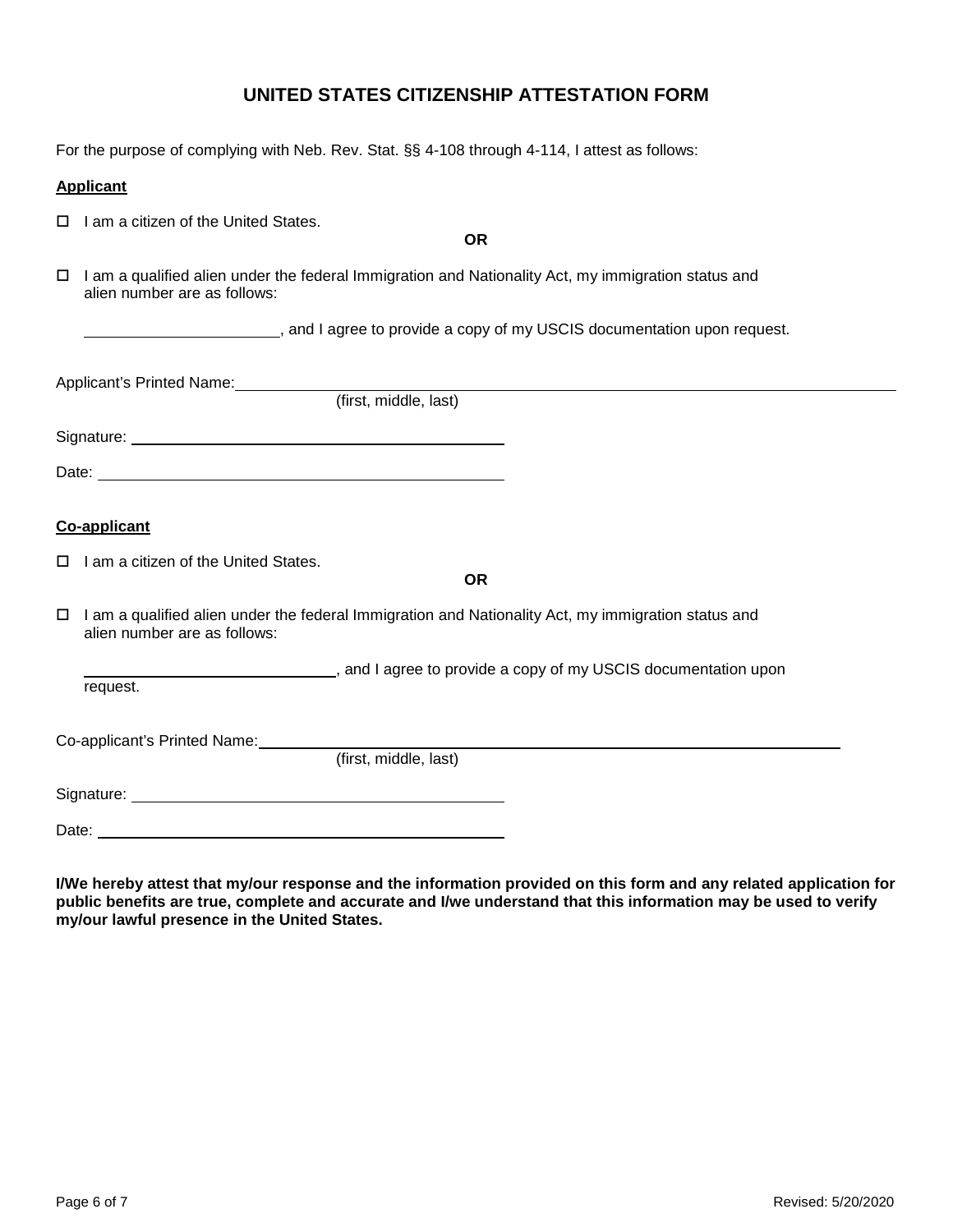# **UNITED STATES CITIZENSHIP ATTESTATION FORM**

For the purpose of complying with Neb. Rev. Stat. §§ 4-108 through 4-114, I attest as follows:

#### **Applicant**

 $\Box$  I am a citizen of the United States.

**OR**

 $\Box$  I am a qualified alien under the federal Immigration and Nationality Act, my immigration status and alien number are as follows:

, and I agree to provide a copy of my USCIS documentation upon request.

| Applicant's Printed Name:                           |                       |  |
|-----------------------------------------------------|-----------------------|--|
|                                                     | (first, middle, last) |  |
| Signature: <u>Contract Communication</u> Signature: |                       |  |
|                                                     |                       |  |
|                                                     |                       |  |
| Co-applicant                                        |                       |  |
| $\Box$ I am a citizen of the United States.         | OR                    |  |

 $\Box$  I am a qualified alien under the federal Immigration and Nationality Act, my immigration status and alien number are as follows:

 $\_\_$ , and I agree to provide a copy of my USCIS documentation upon request.

Co-applicant's Printed Name:

(first, middle, last)

Signature:

Date: <u>example</u>

**I/We hereby attest that my/our response and the information provided on this form and any related application for public benefits are true, complete and accurate and I/we understand that this information may be used to verify my/our lawful presence in the United States.**